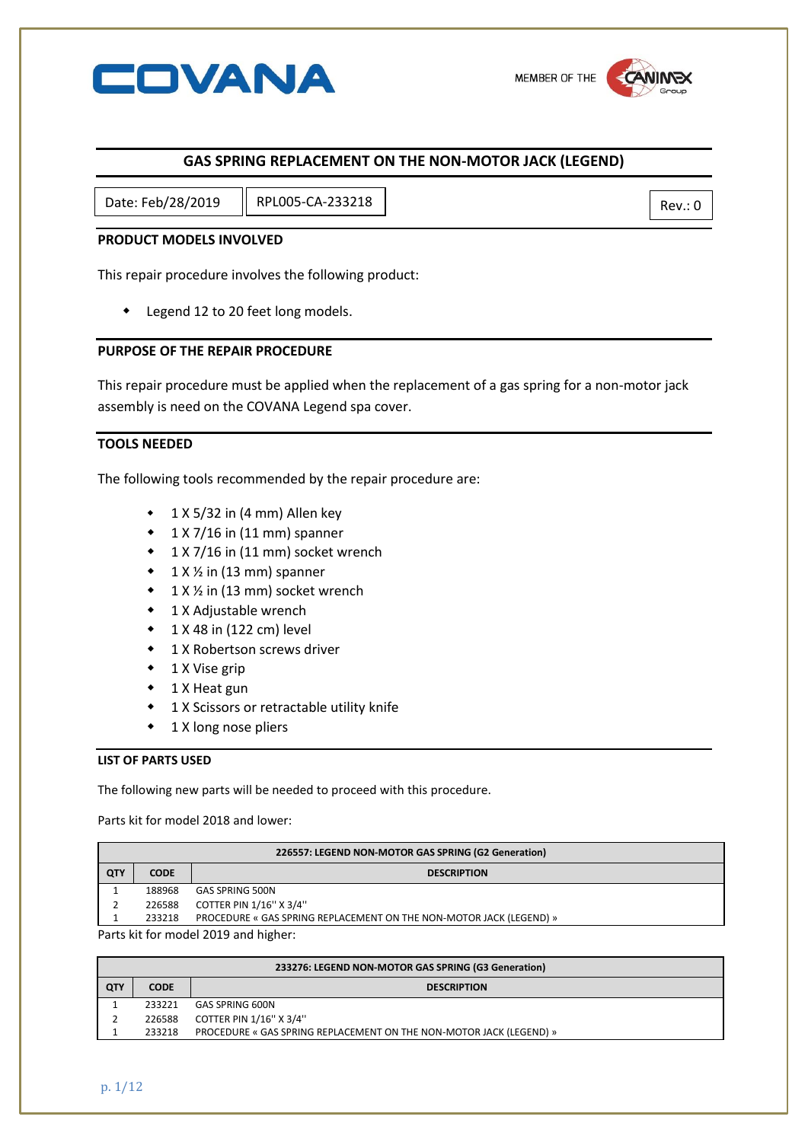

## **GAS SPRING REPLACEMENT ON THE NON-MOTOR JACK (LEGEND)**

Date: Feb/28/2019 || RPL005-CA-233218 |

## **PRODUCT MODELS INVOLVED**

This repair procedure involves the following product:

Legend 12 to 20 feet long models.

## **PURPOSE OF THE REPAIR PROCEDURE**

This repair procedure must be applied when the replacement of a gas spring for a non-motor jack assembly is need on the COVANA Legend spa cover.

## **TOOLS NEEDED**

The following tools recommended by the repair procedure are:

- $\cdot$  1 X 5/32 in (4 mm) Allen key
- $\cdot$  1 X 7/16 in (11 mm) spanner
- 1 X 7/16 in (11 mm) socket wrench
- $\bullet$  1 X  $\frac{1}{2}$  in (13 mm) spanner
- $\bullet$  1 X  $\frac{1}{2}$  in (13 mm) socket wrench
- ◆ 1 X Adjustable wrench
- $\bullet$  1 X 48 in (122 cm) level
- 1 X Robertson screws driver
- $\bullet$  1 X Vise grip
- ◆ 1 X Heat gun
- 1 X Scissors or retractable utility knife
- 1 X long nose pliers

### **LIST OF PARTS USED**

The following new parts will be needed to proceed with this procedure.

Parts kit for model 2018 and lower:

| 226557: LEGEND NON-MOTOR GAS SPRING (G2 Generation) |             |                                                                     |  |
|-----------------------------------------------------|-------------|---------------------------------------------------------------------|--|
| QTY                                                 | <b>CODE</b> | <b>DESCRIPTION</b>                                                  |  |
|                                                     | 188968      | <b>GAS SPRING 500N</b>                                              |  |
|                                                     | 226588      | COTTER PIN 1/16" X 3/4"                                             |  |
|                                                     | 233218      | PROCEDURE « GAS SPRING REPLACEMENT ON THE NON-MOTOR JACK (LEGEND) » |  |
| Parts kit for model 2019 and higher:                |             |                                                                     |  |

| 233276: LEGEND NON-MOTOR GAS SPRING (G3 Generation) |             |                                                                     |  |
|-----------------------------------------------------|-------------|---------------------------------------------------------------------|--|
| <b>QTY</b>                                          | <b>CODE</b> | <b>DESCRIPTION</b>                                                  |  |
|                                                     | 233221      | GAS SPRING 600N                                                     |  |
|                                                     | 226588      | COTTER PIN 1/16" X 3/4"                                             |  |
|                                                     | 233218      | PROCEDURE « GAS SPRING REPLACEMENT ON THE NON-MOTOR JACK (LEGEND) » |  |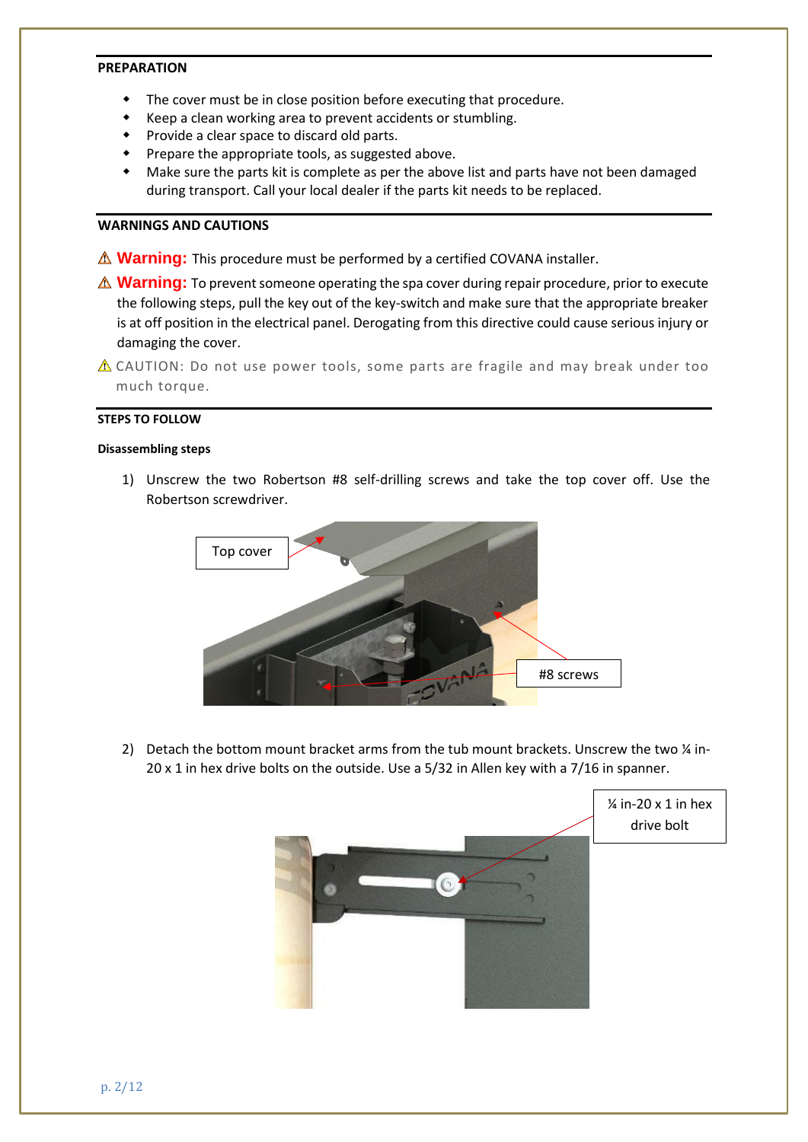## **PREPARATION**

- The cover must be in close position before executing that procedure.
- Keep a clean working area to prevent accidents or stumbling.
- Provide a clear space to discard old parts.
- Prepare the appropriate tools, as suggested above.
- Make sure the parts kit is complete as per the above list and parts have not been damaged during transport. Call your local dealer if the parts kit needs to be replaced.

## **WARNINGS AND CAUTIONS**

- $\triangle$  **Warning:** This procedure must be performed by a certified COVANA installer.
- **A Warning:** To prevent someone operating the spa cover during repair procedure, prior to execute the following steps, pull the key out of the key-switch and make sure that the appropriate breaker is at off position in the electrical panel. Derogating from this directive could cause serious injury or damaging the cover.
- $\triangle$  CAUTION: Do not use power tools, some parts are fragile and may break under too much torque.

### **STEPS TO FOLLOW**

#### **Disassembling steps**

1) Unscrew the two Robertson #8 self-drilling screws and take the top cover off. Use the Robertson screwdriver.



2) Detach the bottom mount bracket arms from the tub mount brackets. Unscrew the two % in-20 x 1 in hex drive bolts on the outside. Use a 5/32 in Allen key with a 7/16 in spanner.

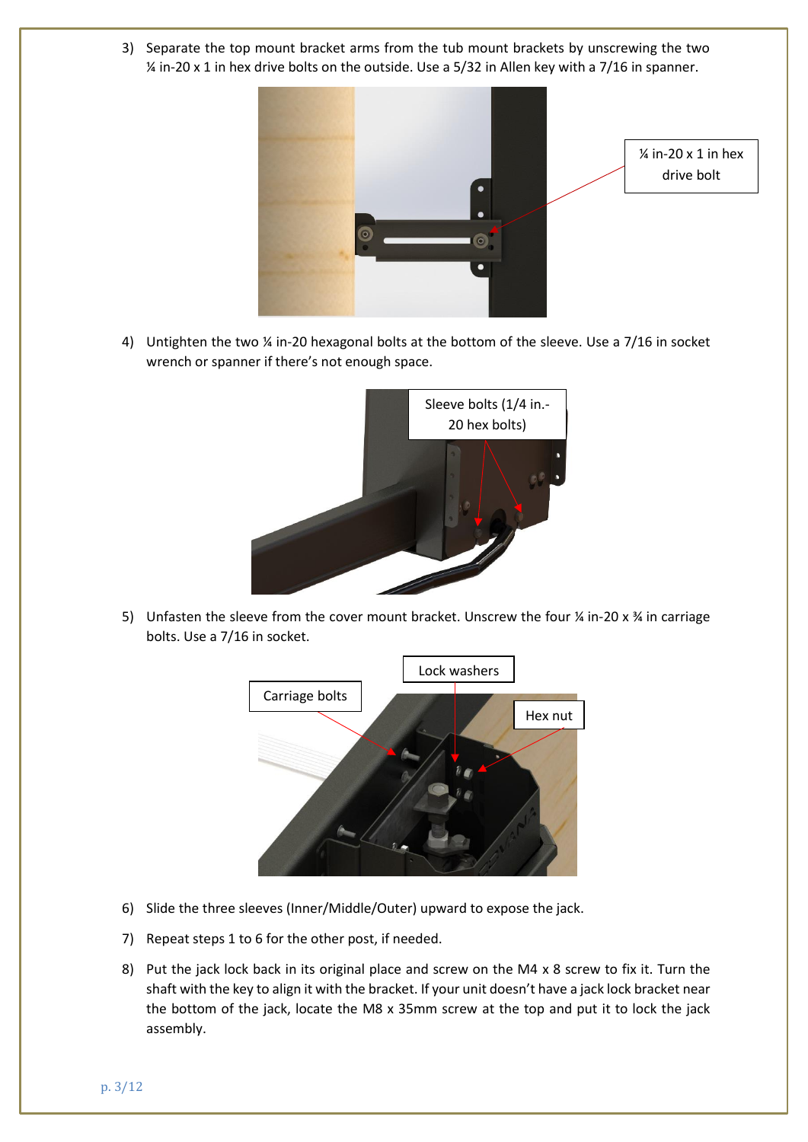3) Separate the top mount bracket arms from the tub mount brackets by unscrewing the two ¼ in-20 x 1 in hex drive bolts on the outside. Use a 5/32 in Allen key with a 7/16 in spanner.



4) Untighten the two  $\frac{1}{4}$  in-20 hexagonal bolts at the bottom of the sleeve. Use a 7/16 in socket wrench or spanner if there's not enough space.



5) Unfasten the sleeve from the cover mount bracket. Unscrew the four  $\frac{1}{4}$  in-20 x  $\frac{1}{4}$  in carriage bolts. Use a 7/16 in socket.



- 6) Slide the three sleeves (Inner/Middle/Outer) upward to expose the jack.
- 7) Repeat steps 1 to 6 for the other post, if needed.
- 8) Put the jack lock back in its original place and screw on the M4 x 8 screw to fix it. Turn the shaft with the key to align it with the bracket. If your unit doesn't have a jack lock bracket near the bottom of the jack, locate the M8 x 35mm screw at the top and put it to lock the jack assembly.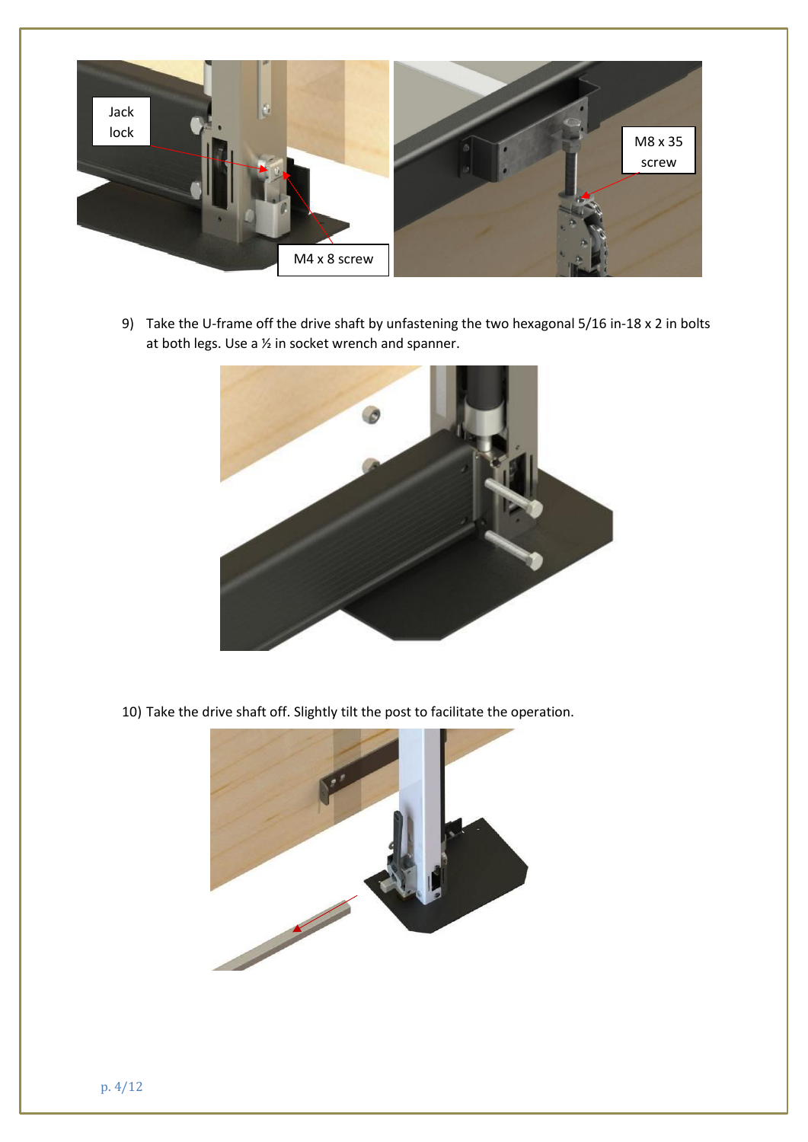

9) Take the U-frame off the drive shaft by unfastening the two hexagonal 5/16 in-18 x 2 in bolts at both legs. Use a ½ in socket wrench and spanner.



10) Take the drive shaft off. Slightly tilt the post to facilitate the operation.

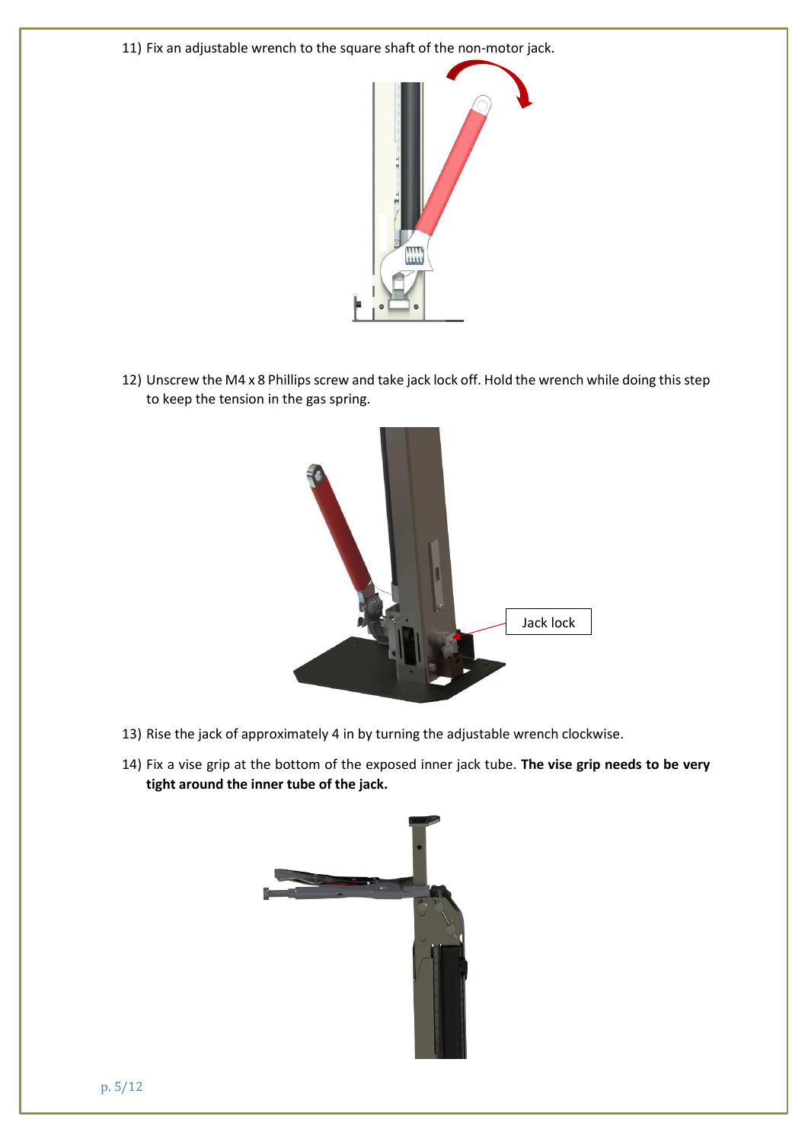11) Fix an adjustable wrench to the square shaft of the non-motor jack.



12) Unscrew the M4 x 8 Phillips screw and take jack lock off. Hold the wrench while doing this step to keep the tension in the gas spring.



- 13) Rise the jack of approximately 4 in by turning the adjustable wrench clockwise.
- 14) Fix a vise grip at the bottom of the exposed inner jack tube. **The vise grip needs to be very tight around the inner tube of the jack.**

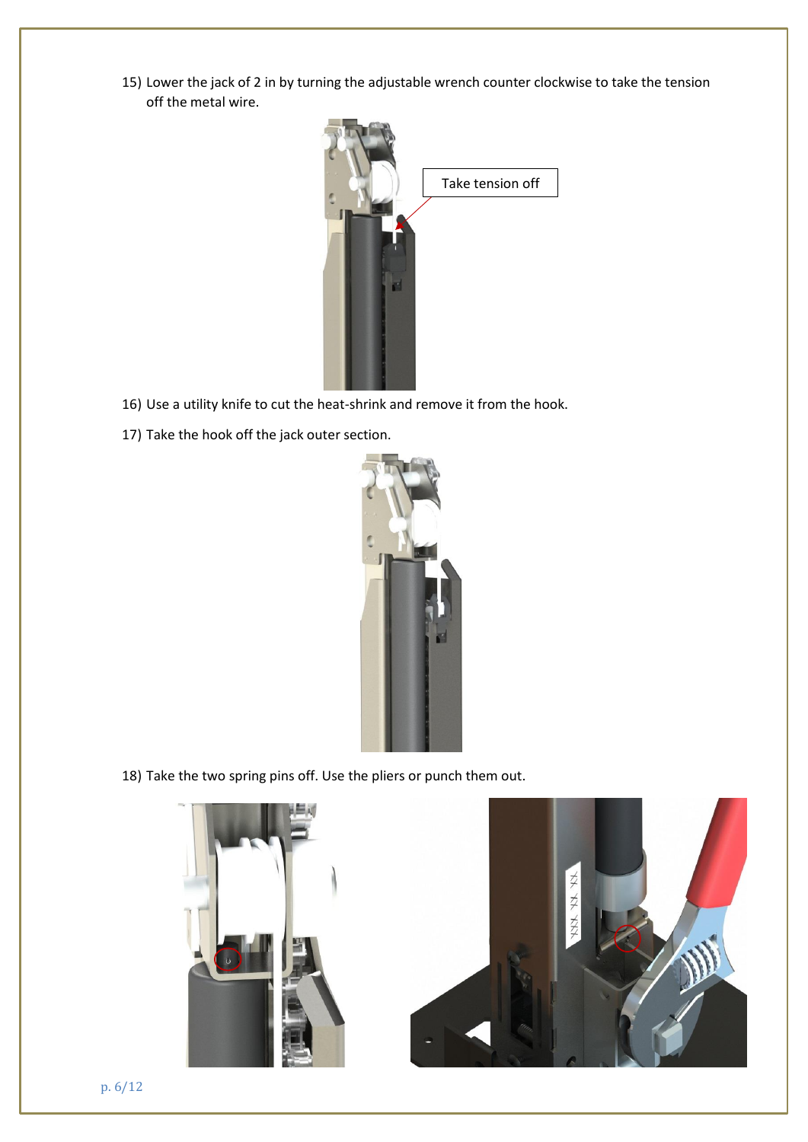15) Lower the jack of 2 in by turning the adjustable wrench counter clockwise to take the tension off the metal wire.



- 16) Use a utility knife to cut the heat-shrink and remove it from the hook.
- 17) Take the hook off the jack outer section.



18) Take the two spring pins off. Use the pliers or punch them out.



p. 6/12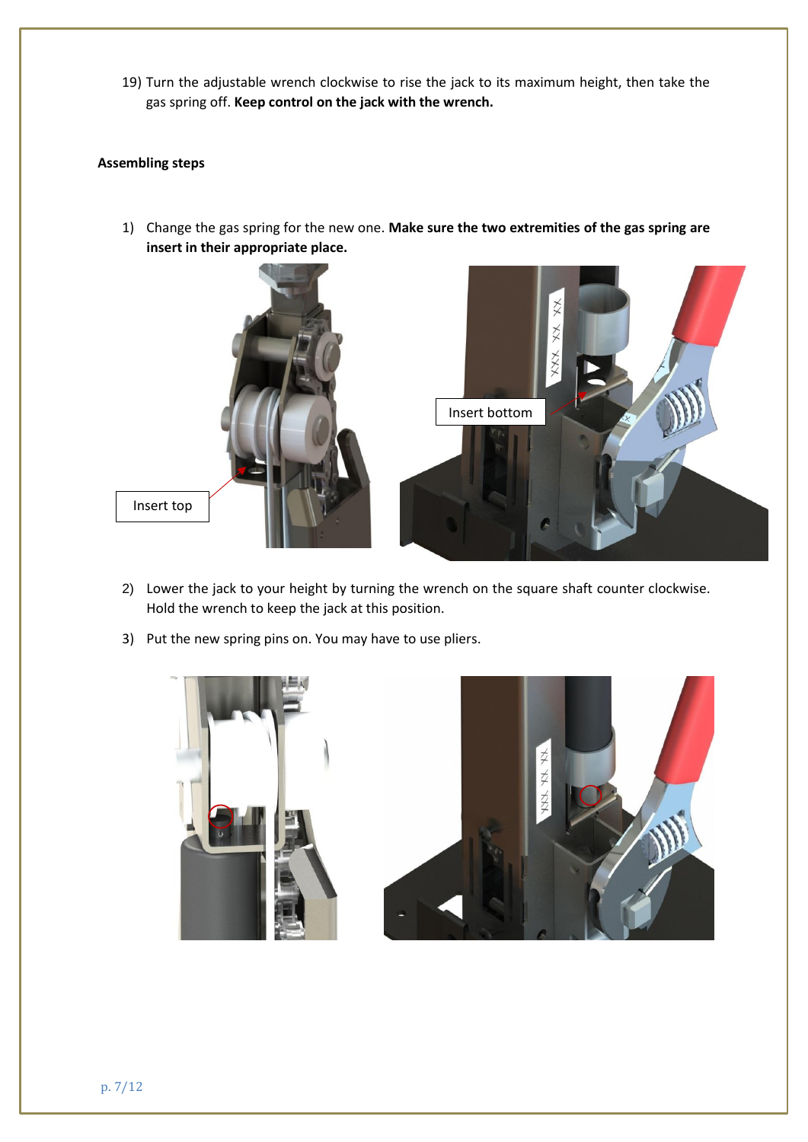19) Turn the adjustable wrench clockwise to rise the jack to its maximum height, then take the gas spring off. **Keep control on the jack with the wrench.**

# **Assembling steps**

1) Change the gas spring for the new one. **Make sure the two extremities of the gas spring are insert in their appropriate place.**



- 2) Lower the jack to your height by turning the wrench on the square shaft counter clockwise. Hold the wrench to keep the jack at this position.
- 3) Put the new spring pins on. You may have to use pliers.

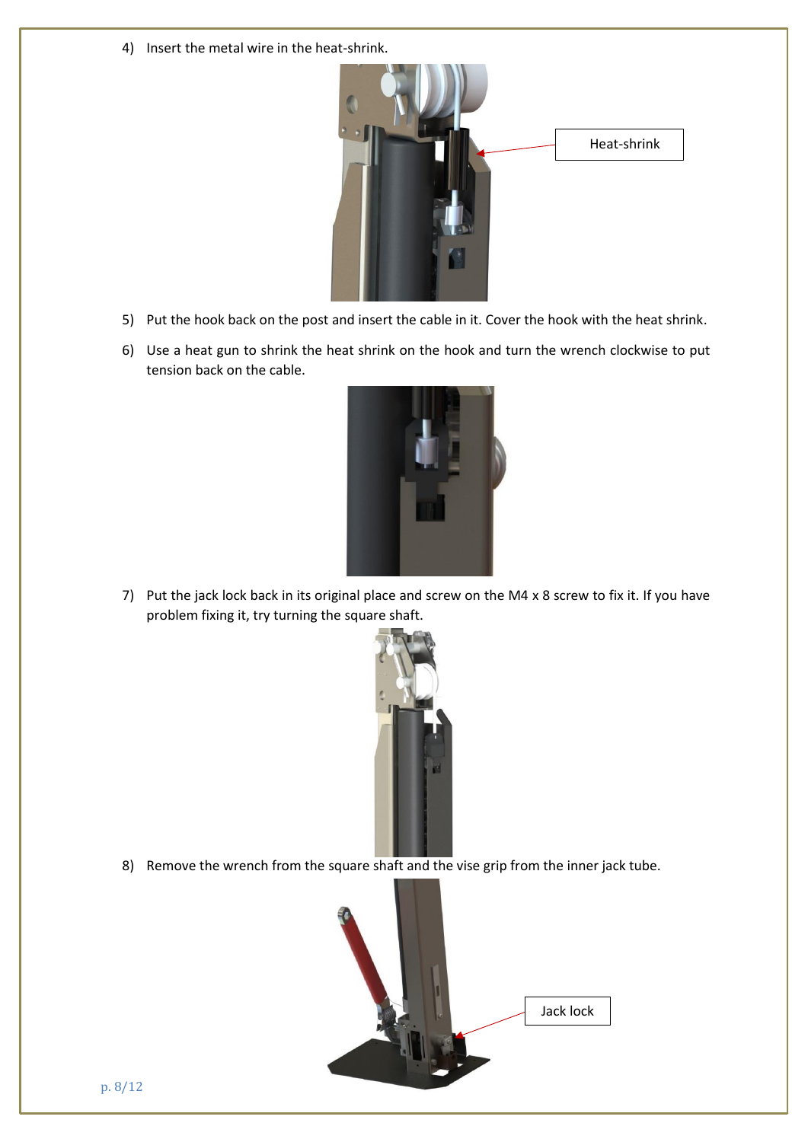4) Insert the metal wire in the heat-shrink.



- 5) Put the hook back on the post and insert the cable in it. Cover the hook with the heat shrink.
- 6) Use a heat gun to shrink the heat shrink on the hook and turn the wrench clockwise to put tension back on the cable.



7) Put the jack lock back in its original place and screw on the M4 x 8 screw to fix it. If you have problem fixing it, try turning the square shaft.



8) Remove the wrench from the square shaft and the vise grip from the inner jack tube.

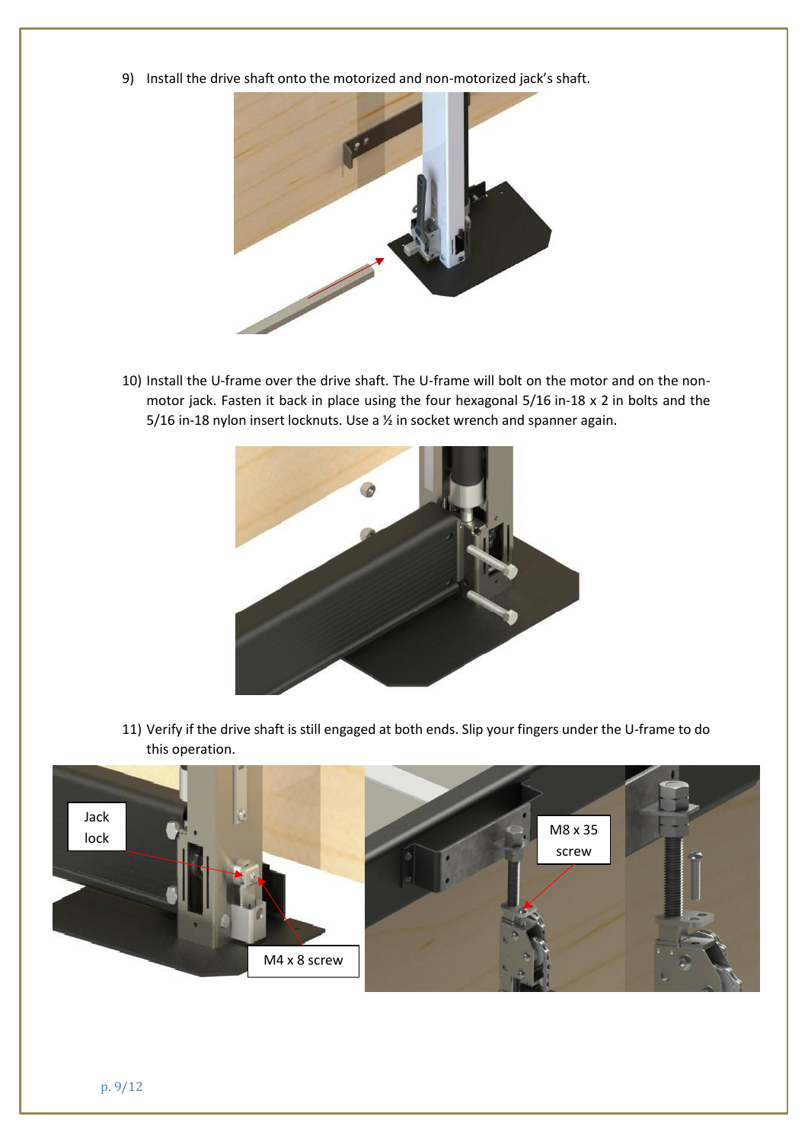9) Install the drive shaft onto the motorized and non-motorized jack's shaft.



10) Install the U-frame over the drive shaft. The U-frame will bolt on the motor and on the nonmotor jack. Fasten it back in place using the four hexagonal 5/16 in-18 x 2 in bolts and the 5/16 in-18 nylon insert locknuts. Use a ½ in socket wrench and spanner again.



11) Verify if the drive shaft is still engaged at both ends. Slip your fingers under the U-frame to do this operation.

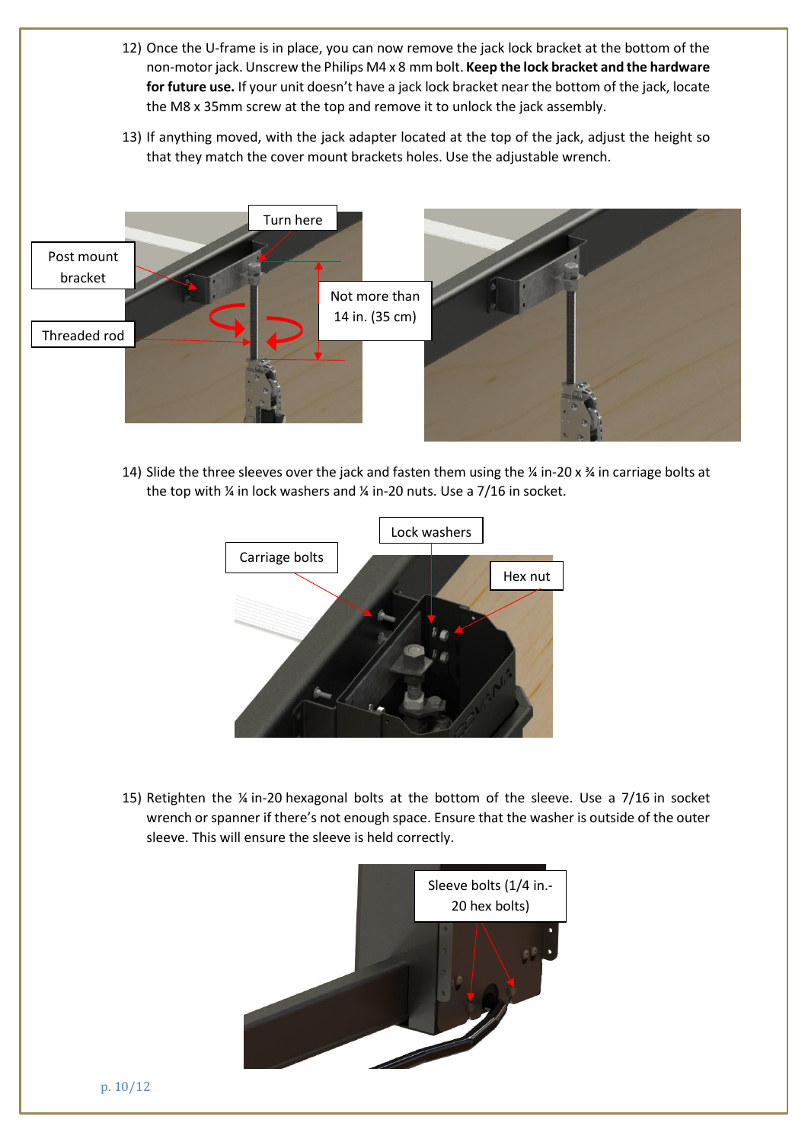- 12) Once the U-frame is in place, you can now remove the jack lock bracket at the bottom of the non-motor jack. Unscrew the Philips M4 x 8 mm bolt. **Keep the lock bracket and the hardware for future use.** If your unit doesn't have a jack lock bracket near the bottom of the jack, locate the M8 x 35mm screw at the top and remove it to unlock the jack assembly.
- 13) If anything moved, with the jack adapter located at the top of the jack, adjust the height so that they match the cover mount brackets holes. Use the adjustable wrench.



14) Slide the three sleeves over the jack and fasten them using the  $\frac{1}{4}$  in-20 x  $\frac{3}{4}$  in carriage bolts at the top with ¼ in lock washers and ¼ in-20 nuts. Use a 7/16 in socket.



15) Retighten the ¼ in-20 hexagonal bolts at the bottom of the sleeve. Use a 7/16 in socket wrench or spanner if there's not enough space. Ensure that the washer is outside of the outer sleeve. This will ensure the sleeve is held correctly.

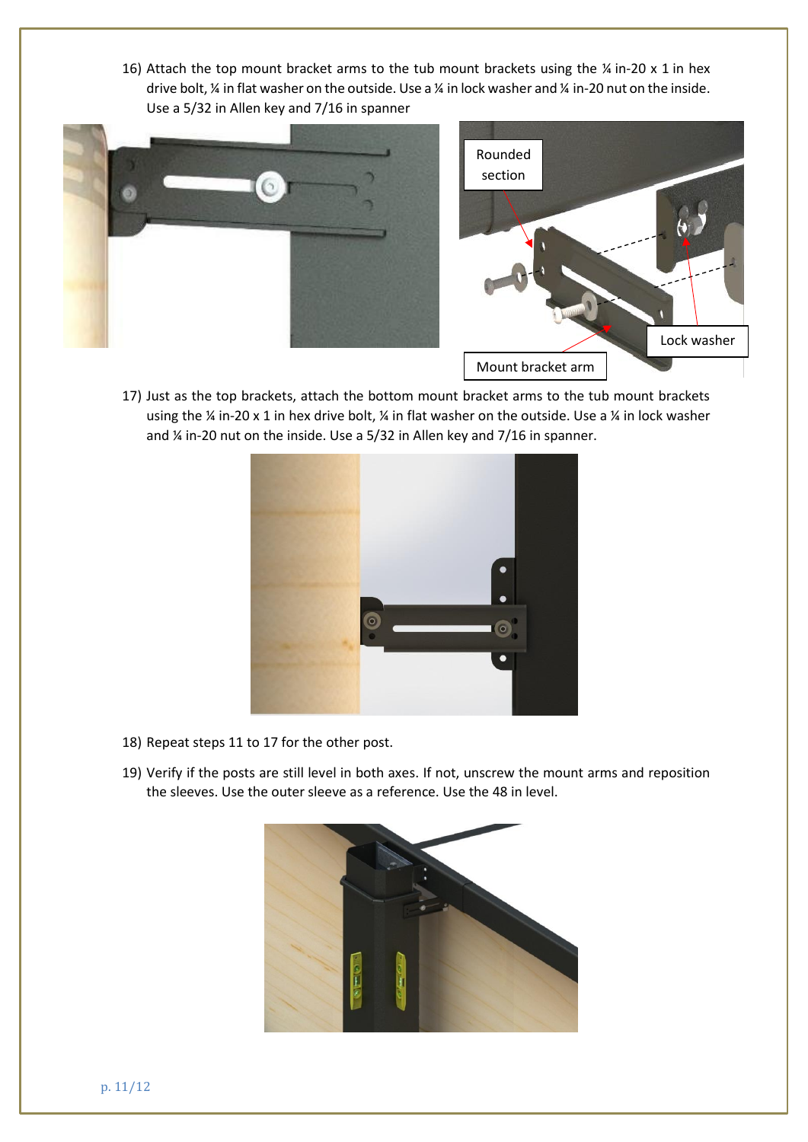16) Attach the top mount bracket arms to the tub mount brackets using the  $\frac{1}{4}$  in-20 x 1 in hex drive bolt, ¼ in flat washer on the outside. Use a ¼ in lock washer and ¼ in-20 nut on the inside. Use a 5/32 in Allen key and 7/16 in spanner



17) Just as the top brackets, attach the bottom mount bracket arms to the tub mount brackets using the ¼ in-20 x 1 in hex drive bolt, ¼ in flat washer on the outside. Use a ¼ in lock washer and ¼ in-20 nut on the inside. Use a 5/32 in Allen key and 7/16 in spanner.



- 18) Repeat steps 11 to 17 for the other post.
- 19) Verify if the posts are still level in both axes. If not, unscrew the mount arms and reposition the sleeves. Use the outer sleeve as a reference. Use the 48 in level.